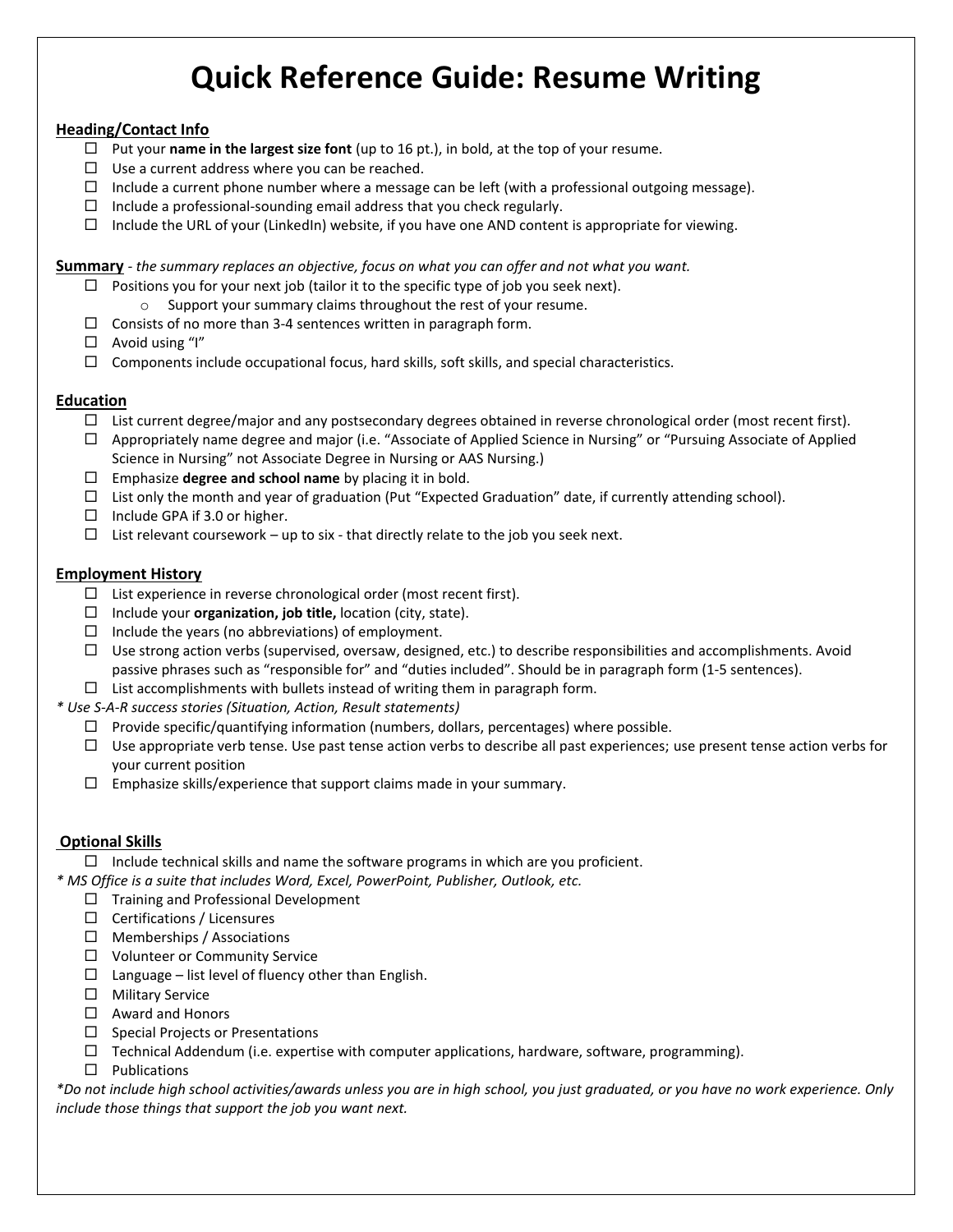# **Quick Reference Guide: Resume Writing**

#### **Heading/Contact Info**

- $\Box$  Put your **name in the largest size font** (up to 16 pt.), in bold, at the top of your resume.
- $\Box$  Use a current address where you can be reached.
- $\Box$  Include a current phone number where a message can be left (with a professional outgoing message).
- $\Box$  Include a professional-sounding email address that you check regularly.
- $\Box$  Include the URL of your (LinkedIn) website, if you have one AND content is appropriate for viewing.

**Summary** *- the summary replaces an objective, focus on what you can offer and not what you want.*

- $\Box$  Positions you for your next job (tailor it to the specific type of job you seek next).
- o Support your summary claims throughout the rest of your resume.
- $\Box$  Consists of no more than 3-4 sentences written in paragraph form.
- $\Box$  Avoid using "I"
- $\Box$  Components include occupational focus, hard skills, soft skills, and special characteristics.

#### **Education**

- $\Box$  List current degree/major and any postsecondary degrees obtained in reverse chronological order (most recent first).
- $\Box$  Appropriately name degree and major (i.e. "Associate of Applied Science in Nursing" or "Pursuing Associate of Applied Science in Nursing" not Associate Degree in Nursing or AAS Nursing.)
- Emphasize **degree and school name** by placing it in bold.
- $\Box$  List only the month and year of graduation (Put "Expected Graduation" date, if currently attending school).
- $\Box$  Include GPA if 3.0 or higher.
- $\Box$  List relevant coursework up to six that directly relate to the job you seek next.

#### **Employment History**

- $\Box$  List experience in reverse chronological order (most recent first).
- Include your **organization, job title,** location (city, state).
- $\Box$  Include the years (no abbreviations) of employment.
- $\Box$  Use strong action verbs (supervised, oversaw, designed, etc.) to describe responsibilities and accomplishments. Avoid passive phrases such as "responsible for" and "duties included". Should be in paragraph form (1-5 sentences).
- $\Box$  List accomplishments with bullets instead of writing them in paragraph form.
- *\* Use S-A-R success stories (Situation, Action, Result statements)*
	- $\Box$  Provide specific/quantifying information (numbers, dollars, percentages) where possible.
	- $\Box$  Use appropriate verb tense. Use past tense action verbs to describe all past experiences; use present tense action verbs for your current position
	- $\Box$  Emphasize skills/experience that support claims made in your summary.

#### **Optional Skills**

 $\Box$  Include technical skills and name the software programs in which are you proficient.

*\* MS Office is a suite that includes Word, Excel, PowerPoint, Publisher, Outlook, etc.*

- $\Box$  Training and Professional Development
- $\Box$  Certifications / Licensures
- $\Box$  Memberships / Associations
- □ Volunteer or Community Service
- $\Box$  Language list level of fluency other than English.
- □ Military Service
- $\Box$  Award and Honors
- $\square$  Special Projects or Presentations
- $\Box$  Technical Addendum (i.e. expertise with computer applications, hardware, software, programming).
- $\square$  Publications

*\*Do not include high school activities/awards unless you are in high school, you just graduated, or you have no work experience. Only include those things that support the job you want next.*